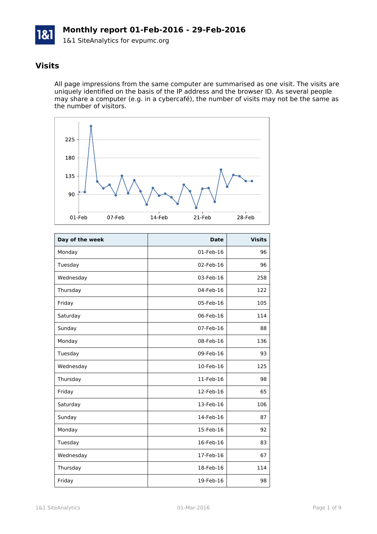1&1 SiteAnalytics for evpumc.org

#### **Visits**

All page impressions from the same computer are summarised as one visit. The visits are uniquely identified on the basis of the IP address and the browser ID. As several people may share a computer (e.g. in a cybercafé), the number of visits may not be the same as the number of visitors.



| Day of the week | <b>Date</b> | <b>Visits</b> |
|-----------------|-------------|---------------|
| Monday          | 01-Feb-16   | 96            |
| Tuesday         | 02-Feb-16   | 96            |
| Wednesday       | 03-Feb-16   | 258           |
| Thursday        | 04-Feb-16   | 122           |
| Friday          | 05-Feb-16   | 105           |
| Saturday        | 06-Feb-16   | 114           |
| Sunday          | 07-Feb-16   | 88            |
| Monday          | 08-Feb-16   | 136           |
| Tuesday         | 09-Feb-16   | 93            |
| Wednesday       | 10-Feb-16   | 125           |
| Thursday        | 11-Feb-16   | 98            |
| Friday          | 12-Feb-16   | 65            |
| Saturday        | 13-Feb-16   | 106           |
| Sunday          | 14-Feb-16   | 87            |
| Monday          | 15-Feb-16   | 92            |
| Tuesday         | 16-Feb-16   | 83            |
| Wednesday       | 17-Feb-16   | 67            |
| Thursday        | 18-Feb-16   | 114           |
| Friday          | 19-Feb-16   | 98            |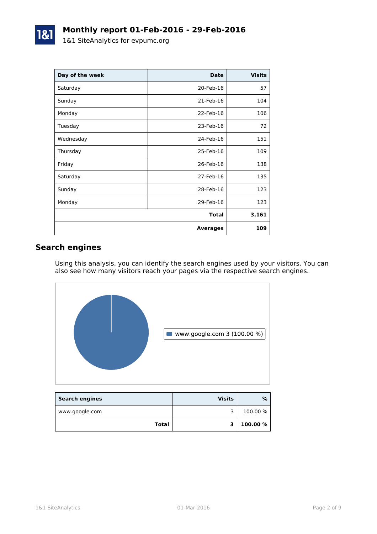| Day of the week | <b>Date</b>     | <b>Visits</b> |
|-----------------|-----------------|---------------|
| Saturday        | 20-Feb-16       | 57            |
| Sunday          | 21-Feb-16       | 104           |
| Monday          | 22-Feb-16       | 106           |
| Tuesday         | 23-Feb-16       | 72            |
| Wednesday       | 24-Feb-16       | 151           |
| Thursday        | 25-Feb-16       | 109           |
| Friday          | 26-Feb-16       | 138           |
| Saturday        | 27-Feb-16       | 135           |
| Sunday          | 28-Feb-16       | 123           |
| Monday          | 29-Feb-16       | 123           |
|                 | <b>Total</b>    | 3,161         |
|                 | <b>Averages</b> | 109           |

## **Search engines**

Using this analysis, you can identify the search engines used by your visitors. You can also see how many visitors reach your pages via the respective search engines.



| <b>Search engines</b> | <b>Visits</b> | %        |
|-----------------------|---------------|----------|
| www.google.com        |               | 100.00 % |
| Total                 | 2             | 100.00 % |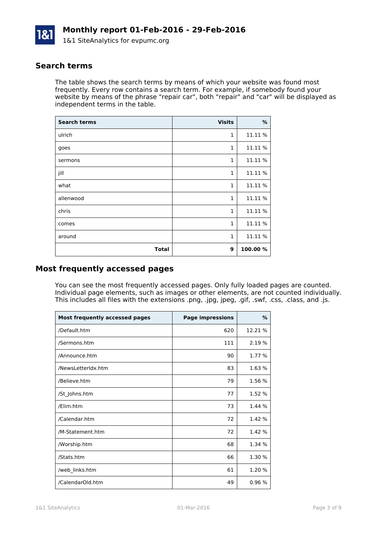

#### **Search terms**

The table shows the search terms by means of which your website was found most frequently. Every row contains a search term. For example, if somebody found your website by means of the phrase "repair car", both "repair" and "car" will be displayed as independent terms in the table.

| <b>Search terms</b> | <b>Visits</b> | %        |
|---------------------|---------------|----------|
| ulrich              | $\mathbf{1}$  | 11.11 %  |
| goes                | $\mathbf{1}$  | 11.11 %  |
| sermons             | $\mathbf{1}$  | 11.11 %  |
| jill                | $\mathbf{1}$  | 11.11 %  |
| what                | $\mathbf{1}$  | 11.11 %  |
| allenwood           | $\mathbf{1}$  | 11.11 %  |
| chris               | $\mathbf{1}$  | 11.11 %  |
| comes               | $\mathbf{1}$  | 11.11 %  |
| around              | $\mathbf{1}$  | 11.11 %  |
| <b>Total</b>        | 9             | 100.00 % |

#### **Most frequently accessed pages**

You can see the most frequently accessed pages. Only fully loaded pages are counted. Individual page elements, such as images or other elements, are not counted individually. This includes all files with the extensions .png, .jpg, jpeg, .gif, .swf, .css, .class, and .js.

| <b>Most frequently accessed pages</b> | <b>Page impressions</b> | $\%$    |
|---------------------------------------|-------------------------|---------|
| /Default.htm                          | 620                     | 12.21 % |
| /Sermons.htm                          | 111                     | 2.19 %  |
| /Announce.htm                         | 90                      | 1.77 %  |
| /NewsLetterIdx.htm                    | 83                      | 1.63 %  |
| /Believe.htm                          | 79                      | 1.56 %  |
| /St_Johns.htm                         | 77                      | 1.52 %  |
| /Elim.htm                             | 73                      | 1.44 %  |
| /Calendar.htm                         | 72                      | 1.42 %  |
| /M-Statement.htm                      | 72                      | 1.42 %  |
| /Worship.htm                          | 68                      | 1.34 %  |
| /Stats.htm                            | 66                      | 1.30 %  |
| /web_links.htm                        | 61                      | 1.20 %  |
| /CalendarOld.htm                      | 49                      | 0.96%   |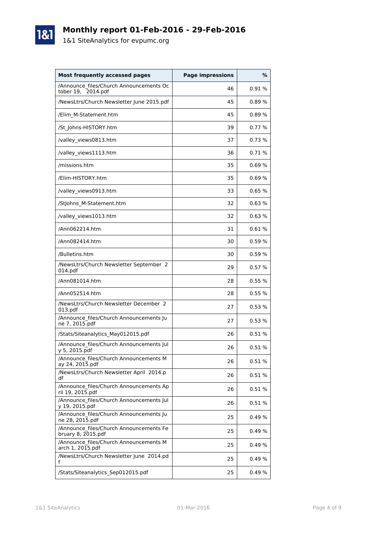1&1 SiteAnalytics for evpumc.org

1&1

| Most frequently accessed pages                                | <b>Page impressions</b> | %     |
|---------------------------------------------------------------|-------------------------|-------|
| /Announce files/Church Announcements Oc<br>tober 19, 2014.pdf | 46                      | 0.91% |
| /NewsLtrs/Church Newsletter June 2015.pdf                     | 45                      | 0.89% |
| /Elim M-Statement.htm                                         | 45                      | 0.89% |
| /St Johns-HISTORY.htm                                         | 39                      | 0.77% |
| /valley_views0813.htm                                         | 37                      | 0.73% |
| /valley_views1113.htm                                         | 36                      | 0.71% |
| /missions.htm                                                 | 35                      | 0.69% |
| /Elim-HISTORY.htm                                             | 35                      | 0.69% |
| /valley_views0913.htm                                         | 33                      | 0.65% |
| /Stjohns M-Statement.htm                                      | 32                      | 0.63% |
| /valley_views1013.htm                                         | 32                      | 0.63% |
| /Ann062214.htm                                                | 31                      | 0.61% |
| /Ann082414.htm                                                | 30                      | 0.59% |
| /Bulletins.htm                                                | 30                      | 0.59% |
| /NewsLtrs/Church Newsletter September 2<br>014.pdf            | 29                      | 0.57% |
| /Ann081014.htm                                                | 28                      | 0.55% |
| /Ann052514.htm                                                | 28                      | 0.55% |
| /NewsLtrs/Church Newsletter December 2<br>013.pdf             | 27                      | 0.53% |
| /Announce files/Church Announcements Ju<br>ne 7, 2015.pdf     | 27                      | 0.53% |
| /Stats/Siteanalytics_May012015.pdf                            | 26                      | 0.51% |
| /Announce_files/Church Announcements Jul<br>y 5, 2015.pdf     | 26                      | 0.51% |
| /Announce files/Church Announcements M<br>ay 24, 2015.pdf     | 26                      | 0.51% |
| /NewsLtrs/Church Newsletter April 2014.p<br>df                | 26                      | 0.51% |
| /Announce files/Church Announcements Ap<br>ril 19, 2015.pdf   | 26                      | 0.51% |
| /Announce_files/Church Announcements Jul<br>y 19, 2015.pdf    | 26                      | 0.51% |
| /Announce files/Church Announcements Ju<br>ne 28, 2015.pdf    | 25                      | 0.49% |
| /Announce files/Church Announcements Fe<br>bruary 8, 2015.pdf | 25                      | 0.49% |
| /Announce files/Church Announcements M<br>arch 1, 2015.pdf    | 25                      | 0.49% |
| /NewsLtrs/Church Newsletter June 2014.pd<br>f                 | 25                      | 0.49% |
| /Stats/Siteanalytics Sep012015.pdf                            | 25                      | 0.49% |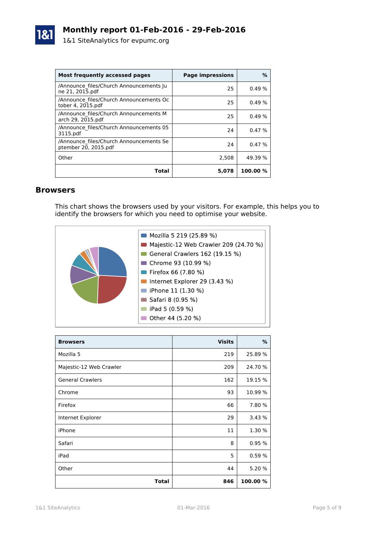

| Most frequently accessed pages                                  | <b>Page impressions</b> | %          |
|-----------------------------------------------------------------|-------------------------|------------|
| /Announce files/Church Announcements Ju<br>ne 21, 2015.pdf      | 25                      | 0.49%      |
| /Announce files/Church Announcements Oc<br>tober 4, 2015.pdf    | 25                      | 0.49%      |
| /Announce files/Church Announcements M<br>arch 29, 2015.pdf     | 25                      | 0.49%      |
| /Announce files/Church Announcements 05<br>3115.pdf             | 24                      | 0.47%      |
| /Announce files/Church Announcements Se<br>ptember 20, 2015.pdf | 24                      | 0.47%      |
| Other                                                           | 2.508                   | 49.39 %    |
| Total                                                           | 5,078                   | $100.00\%$ |

#### **Browsers**

This chart shows the browsers used by your visitors. For example, this helps you to identify the browsers for which you need to optimise your website.



| <b>Browsers</b>         | <b>Visits</b> | %        |
|-------------------------|---------------|----------|
| Mozilla 5               | 219           | 25.89 %  |
| Majestic-12 Web Crawler | 209           | 24.70 %  |
| <b>General Crawlers</b> | 162           | 19.15 %  |
| Chrome                  | 93            | 10.99 %  |
| Firefox                 | 66            | 7.80 %   |
| Internet Explorer       | 29            | 3.43 %   |
| iPhone                  | 11            | 1.30 %   |
| Safari                  | 8             | 0.95%    |
| iPad                    | 5             | 0.59%    |
| Other                   | 44            | 5.20 %   |
| Total                   | 846           | 100.00 % |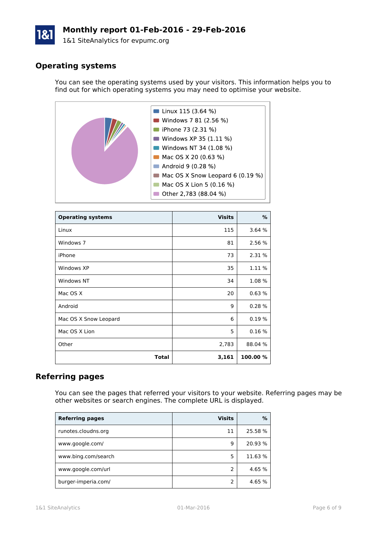1&1 SiteAnalytics for evpumc.org

### **Operating systems**

You can see the operating systems used by your visitors. This information helps you to find out for which operating systems you may need to optimise your website.



| <b>Operating systems</b> | <b>Visits</b> | ℅        |
|--------------------------|---------------|----------|
| Linux                    | 115           | 3.64 %   |
| Windows 7                | 81            | 2.56 %   |
| iPhone                   | 73            | 2.31 %   |
| Windows XP               | 35            | 1.11 %   |
| Windows NT               | 34            | 1.08 %   |
| Mac OS X                 | 20            | 0.63%    |
| Android                  | 9             | 0.28%    |
| Mac OS X Snow Leopard    | 6             | 0.19%    |
| Mac OS X Lion            | 5             | 0.16%    |
| Other                    | 2,783         | 88.04 %  |
| Total                    | 3,161         | 100.00 % |

#### **Referring pages**

You can see the pages that referred your visitors to your website. Referring pages may be other websites or search engines. The complete URL is displayed.

| <b>Referring pages</b> | <b>Visits</b> | ℅       |
|------------------------|---------------|---------|
| runotes.cloudns.org    | 11            | 25.58 % |
| www.google.com/        | q             | 20.93 % |
| www.bing.com/search    | 5             | 11.63 % |
| www.google.com/url     | 2             | 4.65 %  |
| burger-imperia.com/    |               | 4.65 %  |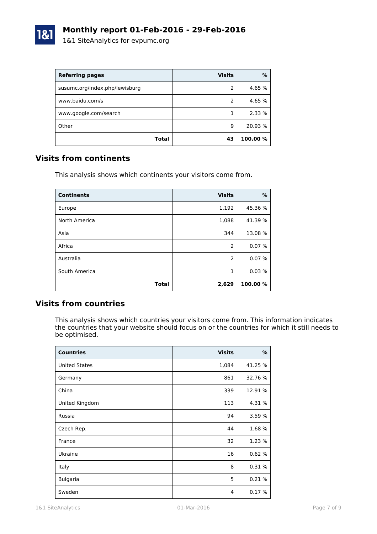

| <b>Referring pages</b>         | <b>Visits</b> | %        |
|--------------------------------|---------------|----------|
| susumc.org/index.php/lewisburg | 2             | 4.65 %   |
| www.baidu.com/s                | 2             | 4.65 %   |
| www.google.com/search          |               | 2.33 %   |
| Other                          | 9             | 20.93 %  |
| Total                          | 43            | 100.00 % |

#### **Visits from continents**

This analysis shows which continents your visitors come from.

| <b>Continents</b> | <b>Visits</b>  | %        |
|-------------------|----------------|----------|
| Europe            | 1,192          | 45.36 %  |
| North America     | 1,088          | 41.39 %  |
| Asia              | 344            | 13.08 %  |
| Africa            | $\overline{2}$ | 0.07%    |
| Australia         | $\overline{2}$ | 0.07%    |
| South America     | 1              | 0.03%    |
| <b>Total</b>      | 2,629          | 100.00 % |

#### **Visits from countries**

This analysis shows which countries your visitors come from. This information indicates the countries that your website should focus on or the countries for which it still needs to be optimised.

| <b>Countries</b>     | <b>Visits</b> | $\%$    |
|----------------------|---------------|---------|
| <b>United States</b> | 1,084         | 41.25 % |
| Germany              | 861           | 32.76 % |
| China                | 339           | 12.91 % |
| United Kingdom       | 113           | 4.31 %  |
| Russia               | 94            | 3.59 %  |
| Czech Rep.           | 44            | 1.68 %  |
| France               | 32            | 1.23 %  |
| Ukraine              | 16            | 0.62%   |
| Italy                | 8             | 0.31%   |
| <b>Bulgaria</b>      | 5             | 0.21%   |
| Sweden               | 4             | 0.17%   |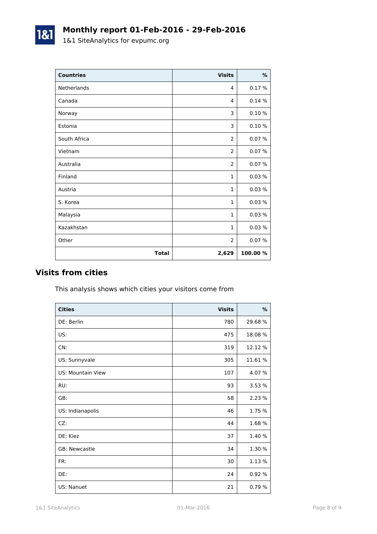1&1 SiteAnalytics for evpumc.org

1&1

| <b>Countries</b> | <b>Visits</b>  | $\%$    |
|------------------|----------------|---------|
| Netherlands      | 4              | 0.17%   |
| Canada           | 4              | 0.14%   |
| Norway           | 3              | 0.10%   |
| Estonia          | 3              | 0.10%   |
| South Africa     | $\overline{2}$ | 0.07%   |
| Vietnam          | 2              | 0.07%   |
| Australia        | $\overline{2}$ | 0.07%   |
| Finland          | $\mathbf{1}$   | 0.03%   |
| Austria          | $\mathbf{1}$   | 0.03%   |
| S. Korea         | $\mathbf{1}$   | 0.03%   |
| Malaysia         | $\mathbf{1}$   | 0.03%   |
| Kazakhstan       | $\mathbf{1}$   | 0.03%   |
| Other            | 2              | 0.07%   |
| <b>Total</b>     | 2,629          | 100.00% |

#### **Visits from cities**

This analysis shows which cities your visitors come from

| <b>Cities</b>            | <b>Visits</b> | %       |
|--------------------------|---------------|---------|
| DE: Berlin               | 780           | 29.68 % |
| US:                      | 475           | 18.08 % |
| CN:                      | 319           | 12.12 % |
| US: Sunnyvale            | 305           | 11.61 % |
| <b>US: Mountain View</b> | 107           | 4.07 %  |
| RU:                      | 93            | 3.53 %  |
| GB:                      | 58            | 2.23 %  |
| US: Indianapolis         | 46            | 1.75 %  |
| CZ:                      | 44            | 1.68 %  |
| DE: Kiez                 | 37            | 1.40 %  |
| <b>GB: Newcastle</b>     | 34            | 1.30 %  |
| FR:                      | 30            | 1.13 %  |
| DE:                      | 24            | 0.92 %  |
| US: Nanuet               | 21            | 0.79 %  |